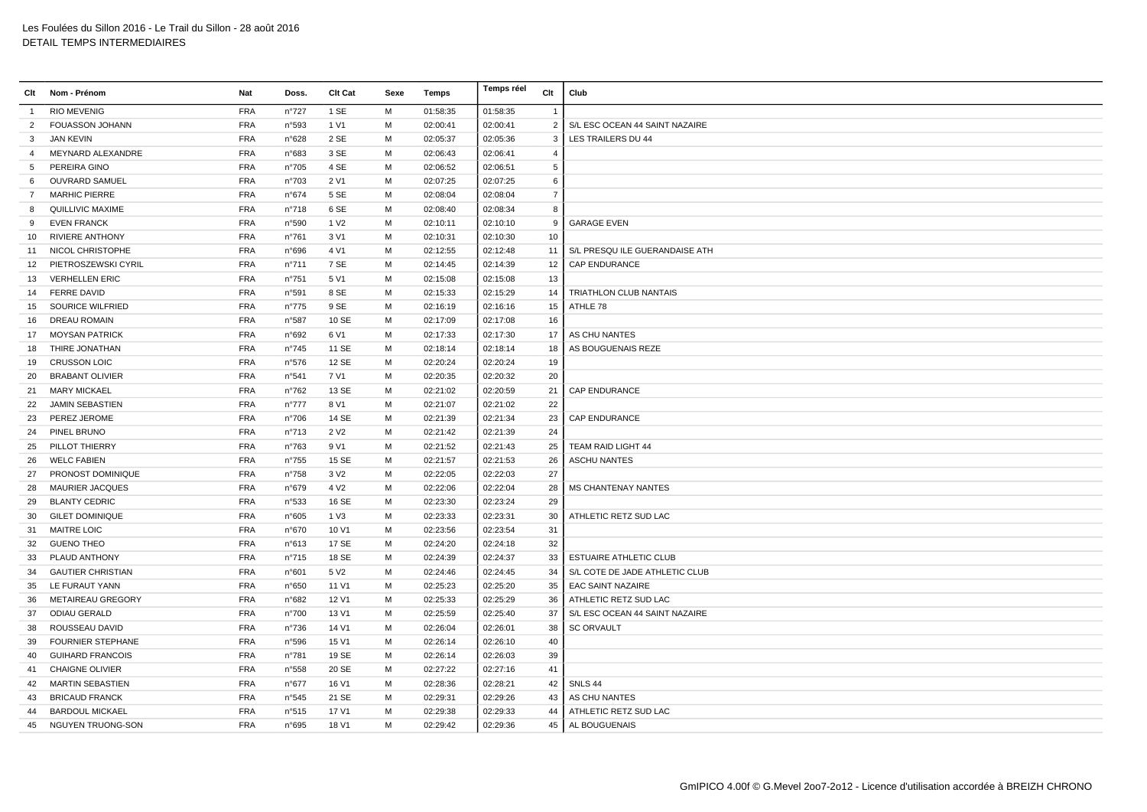| Clt            | Nom - Prénom             | <b>Nat</b> | Doss.          | Clt Cat          | Sexe | Temps    | Temps réel | Clt            | Club                           |
|----------------|--------------------------|------------|----------------|------------------|------|----------|------------|----------------|--------------------------------|
| -1             | <b>RIO MEVENIG</b>       | <b>FRA</b> | $n^{\circ}727$ | 1 SE             | М    | 01:58:35 | 01:58:35   | $\mathbf{1}$   |                                |
| 2              | FOUASSON JOHANN          | <b>FRA</b> | n°593          | 1 V1             | М    | 02:00:41 | 02:00:41   | $\overline{2}$ | S/L ESC OCEAN 44 SAINT NAZAIRE |
| 3              | <b>JAN KEVIN</b>         | <b>FRA</b> | n°628          | 2 SE             | M    | 02:05:37 | 02:05:36   | 3              | LES TRAILERS DU 44             |
| $\overline{4}$ | MEYNARD ALEXANDRE        | <b>FRA</b> | n°683          | 3 SE             | M    | 02:06:43 | 02:06:41   | $\overline{4}$ |                                |
| 5              | PEREIRA GINO             | <b>FRA</b> | n°705          | 4 SE             | м    | 02:06:52 | 02:06:51   | $\mathbf 5$    |                                |
| 6              | <b>OUVRARD SAMUEL</b>    | <b>FRA</b> | n°703          | 2 V1             | м    | 02:07:25 | 02:07:25   | 6              |                                |
| $\overline{7}$ | <b>MARHIC PIERRE</b>     | <b>FRA</b> | n°674          | 5 SE             | M    | 02:08:04 | 02:08:04   | $\overline{7}$ |                                |
| 8              | QUILLIVIC MAXIME         | <b>FRA</b> | $n^{\circ}718$ | 6 SE             | M    | 02:08:40 | 02:08:34   | 8              |                                |
| 9              | <b>EVEN FRANCK</b>       | <b>FRA</b> | n°590          | 1 V <sub>2</sub> | M    | 02:10:11 | 02:10:10   | 9              | <b>GARAGE EVEN</b>             |
| 10             | <b>RIVIERE ANTHONY</b>   | <b>FRA</b> | n°761          | 3 V1             | м    | 02:10:31 | 02:10:30   | 10             |                                |
|                | 11 NICOL CHRISTOPHE      | <b>FRA</b> | n°696          | 4 V1             | м    | 02:12:55 | 02:12:48   | 11             | S/L PRESQU ILE GUERANDAISE ATH |
| 12             | PIETROSZEWSKI CYRIL      | <b>FRA</b> | n°711          | 7 SE             | M    | 02:14:45 | 02:14:39   | 12             | CAP ENDURANCE                  |
| 13             | <b>VERHELLEN ERIC</b>    | <b>FRA</b> | n°751          | 5 V1             | M    | 02:15:08 | 02:15:08   | 13             |                                |
| 14             | <b>FERRE DAVID</b>       | <b>FRA</b> | n°591          | 8 SE             | М    | 02:15:33 | 02:15:29   | 14             | TRIATHLON CLUB NANTAIS         |
| 15             | SOURICE WILFRIED         | <b>FRA</b> | n°775          | 9 SE             | М    | 02:16:19 | 02:16:16   | 15             | ATHLE 78                       |
| 16             | <b>DREAU ROMAIN</b>      | <b>FRA</b> | n°587          | 10 SE            | м    | 02:17:09 | 02:17:08   | 16             |                                |
| 17             | <b>MOYSAN PATRICK</b>    | <b>FRA</b> | n°692          | 6 V1             | M    | 02:17:33 | 02:17:30   | 17             | AS CHU NANTES                  |
| 18             | THIRE JONATHAN           | <b>FRA</b> | n°745          | 11 SE            | M    | 02:18:14 | 02:18:14   | 18             | AS BOUGUENAIS REZE             |
| 19             | <b>CRUSSON LOIC</b>      | <b>FRA</b> | n°576          | 12 SE            | M    | 02:20:24 | 02:20:24   | 19             |                                |
| 20             | <b>BRABANT OLIVIER</b>   | <b>FRA</b> | n°541          | 7 V1             | M    | 02:20:35 | 02:20:32   | 20             |                                |
| 21             | <b>MARY MICKAEL</b>      | <b>FRA</b> | $n^{\circ}762$ | 13 SE            | м    | 02:21:02 | 02:20:59   | 21             | <b>CAP ENDURANCE</b>           |
| 22             | JAMIN SEBASTIEN          | <b>FRA</b> | $n^{\circ}777$ | 8 V1             | M    | 02:21:07 | 02:21:02   | 22             |                                |
| 23             | PEREZ JEROME             | <b>FRA</b> | n°706          | 14 SE            | M    | 02:21:39 | 02:21:34   | 23             | CAP ENDURANCE                  |
| 24             | PINEL BRUNO              | <b>FRA</b> | n°713          | 2 V <sub>2</sub> | М    | 02:21:42 | 02:21:39   | 24             |                                |
| 25             | PILLOT THIERRY           | <b>FRA</b> | n°763          | 9 V1             | M    | 02:21:52 | 02:21:43   | 25             | TEAM RAID LIGHT 44             |
| 26             | <b>WELC FABIEN</b>       | <b>FRA</b> | n°755          | 15 SE            | М    | 02:21:57 | 02:21:53   | 26             | <b>ASCHU NANTES</b>            |
| 27             | <b>PRONOST DOMINIQUE</b> | <b>FRA</b> | n°758          | 3 V <sub>2</sub> | M    | 02:22:05 | 02:22:03   | 27             |                                |
| 28             | <b>MAURIER JACQUES</b>   | <b>FRA</b> | n°679          | 4 V <sub>2</sub> | M    | 02:22:06 | 02:22:04   | 28             | <b>MS CHANTENAY NANTES</b>     |
| 29             | <b>BLANTY CEDRIC</b>     | <b>FRA</b> | n°533          | 16 SE            | М    | 02:23:30 | 02:23:24   | 29             |                                |
| 30             | <b>GILET DOMINIQUE</b>   | <b>FRA</b> | n°605          | 1 V3             | M    | 02:23:33 | 02:23:31   | 30             | ATHLETIC RETZ SUD LAC          |
| 31             | <b>MAITRE LOIC</b>       | <b>FRA</b> | n°670          | 10 V1            | М    | 02:23:56 | 02:23:54   | 31             |                                |
| 32             | <b>GUENO THEO</b>        | <b>FRA</b> | n°613          | 17 SE            | M    | 02:24:20 | 02:24:18   | 32             |                                |
| 33             | PLAUD ANTHONY            | <b>FRA</b> | n°715          | 18 SE            | М    | 02:24:39 | 02:24:37   | 33             | <b>ESTUAIRE ATHLETIC CLUB</b>  |
| 34             | <b>GAUTIER CHRISTIAN</b> | <b>FRA</b> | n°601          | 5 V <sub>2</sub> | М    | 02:24:46 | 02:24:45   | 34             | S/L COTE DE JADE ATHLETIC CLUB |
| 35             | LE FURAUT YANN           | <b>FRA</b> | n°650          | 11 V1            | М    | 02:25:23 | 02:25:20   | 35             | <b>EAC SAINT NAZAIRE</b>       |
| 36             | <b>METAIREAU GREGORY</b> | <b>FRA</b> | n°682          | 12 V1            | М    | 02:25:33 | 02:25:29   | 36             | ATHLETIC RETZ SUD LAC          |
| 37             | <b>ODIAU GERALD</b>      | <b>FRA</b> | n°700          | 13 V1            | M    | 02:25:59 | 02:25:40   | 37             | S/L ESC OCEAN 44 SAINT NAZAIRE |
| 38             | ROUSSEAU DAVID           | <b>FRA</b> | $n^{\circ}736$ | 14 V1            | М    | 02:26:04 | 02:26:01   | 38             | <b>SC ORVAULT</b>              |
| 39             | FOURNIER STEPHANE        | <b>FRA</b> | n°596          | 15 V1            | М    | 02:26:14 | 02:26:10   | 40             |                                |
| 40             | <b>GUIHARD FRANCOIS</b>  | <b>FRA</b> | n°781          | 19 SE            | М    | 02:26:14 | 02:26:03   | 39             |                                |
| 41             | <b>CHAIGNE OLIVIER</b>   | <b>FRA</b> | n°558          | 20 SE            | M    | 02:27:22 | 02:27:16   | 41             |                                |
| 42             | <b>MARTIN SEBASTIEN</b>  | <b>FRA</b> | n°677          | 16 V1            | м    | 02:28:36 | 02:28:21   | 42             | SNLS 44                        |
| 43             | <b>BRICAUD FRANCK</b>    | <b>FRA</b> | n°545          | 21 SE            | м    | 02:29:31 | 02:29:26   | 43             | AS CHU NANTES                  |
| 44             | <b>BARDOUL MICKAEL</b>   | <b>FRA</b> | n°515          | 17 V1            | м    | 02:29:38 | 02:29:33   | 44             | ATHLETIC RETZ SUD LAC          |
| 45             | NGUYEN TRUONG-SON        | <b>FRA</b> | n°695          | 18 V1            | M    | 02:29:42 | 02:29:36   | 45             | AL BOUGUENAIS                  |
|                |                          |            |                |                  |      |          |            |                |                                |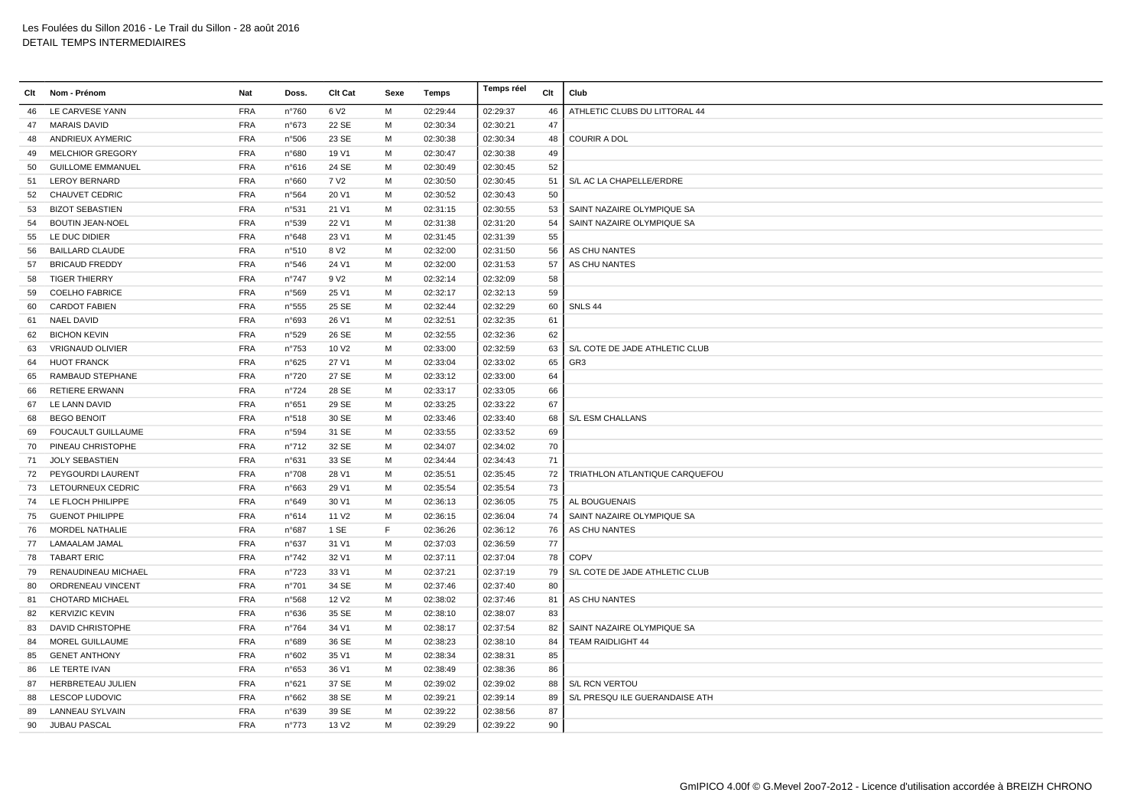| Clt | Nom - Prénom             | Nat        | Doss.          | Clt Cat           | Sexe | Temps    | Temps réel | Clt | Club                           |
|-----|--------------------------|------------|----------------|-------------------|------|----------|------------|-----|--------------------------------|
| 46  | LE CARVESE YANN          | <b>FRA</b> | n°760          | 6 V <sub>2</sub>  | M    | 02:29:44 | 02:29:37   | 46  | ATHLETIC CLUBS DU LITTORAL 44  |
| 47  | <b>MARAIS DAVID</b>      | <b>FRA</b> | n°673          | 22 SE             | м    | 02:30:34 | 02:30:21   | 47  |                                |
| 48  | ANDRIEUX AYMERIC         | <b>FRA</b> | n°506          | 23 SE             | M    | 02:30:38 | 02:30:34   | 48  | <b>COURIR A DOL</b>            |
| 49  | <b>MELCHIOR GREGORY</b>  | <b>FRA</b> | n°680          | 19 V1             | M    | 02:30:47 | 02:30:38   | 49  |                                |
| 50  | <b>GUILLOME EMMANUEL</b> | <b>FRA</b> | n°616          | 24 SE             | M    | 02:30:49 | 02:30:45   | 52  |                                |
| 51  | <b>LEROY BERNARD</b>     | <b>FRA</b> | n°660          | 7 V <sub>2</sub>  | M    | 02:30:50 | 02:30:45   | 51  | S/L AC LA CHAPELLE/ERDRE       |
| 52  | CHAUVET CEDRIC           | <b>FRA</b> | n°564          | 20 V1             | м    | 02:30:52 | 02:30:43   | 50  |                                |
| 53  | <b>BIZOT SEBASTIEN</b>   | <b>FRA</b> | n°531          | 21 V1             | м    | 02:31:15 | 02:30:55   | 53  | SAINT NAZAIRE OLYMPIQUE SA     |
| 54  | <b>BOUTIN JEAN-NOEL</b>  | <b>FRA</b> | n°539          | 22 V1             | M    | 02:31:38 | 02:31:20   | 54  | SAINT NAZAIRE OLYMPIQUE SA     |
| 55  | LE DUC DIDIER            | <b>FRA</b> | n°648          | 23 V1             | M    | 02:31:45 | 02:31:39   | 55  |                                |
| 56  | <b>BAILLARD CLAUDE</b>   | <b>FRA</b> | n°510          | 8 V <sub>2</sub>  | M    | 02:32:00 | 02:31:50   | 56  | AS CHU NANTES                  |
| 57  | <b>BRICAUD FREDDY</b>    | <b>FRA</b> | n°546          | 24 V1             | м    | 02:32:00 | 02:31:53   | 57  | AS CHU NANTES                  |
| 58  | <b>TIGER THIERRY</b>     | <b>FRA</b> | $n^{\circ}747$ | 9 V <sub>2</sub>  | м    | 02:32:14 | 02:32:09   | 58  |                                |
| 59  | <b>COELHO FABRICE</b>    | <b>FRA</b> | n°569          | 25 V1             | м    | 02:32:17 | 02:32:13   | 59  |                                |
| 60  | <b>CARDOT FABIEN</b>     | <b>FRA</b> | n°555          | 25 SE             | M    | 02:32:44 | 02:32:29   | 60  | SNLS 44                        |
| 61  | <b>NAEL DAVID</b>        | <b>FRA</b> | n°693          | 26 V1             | M    | 02:32:51 | 02:32:35   | 61  |                                |
| 62  | <b>BICHON KEVIN</b>      | <b>FRA</b> | n°529          | 26 SE             | м    | 02:32:55 | 02:32:36   | 62  |                                |
| 63  | <b>VRIGNAUD OLIVIER</b>  | <b>FRA</b> | $n^{\circ}753$ | 10 V <sub>2</sub> | м    | 02:33:00 | 02:32:59   | 63  | S/L COTE DE JADE ATHLETIC CLUB |
| 64  | <b>HUOT FRANCK</b>       | <b>FRA</b> | n°625          | 27 V1             | м    | 02:33:04 | 02:33:02   | 65  | GR <sub>3</sub>                |
| 65  | RAMBAUD STEPHANE         | <b>FRA</b> | n°720          | 27 SE             | M    | 02:33:12 | 02:33:00   | 64  |                                |
| 66  | <b>RETIERE ERWANN</b>    | <b>FRA</b> | $n^{\circ}724$ | 28 SE             | M    | 02:33:17 | 02:33:05   | 66  |                                |
| 67  | LE LANN DAVID            | <b>FRA</b> | n°651          | 29 SE             | M    | 02:33:25 | 02:33:22   | 67  |                                |
| 68  | <b>BEGO BENOIT</b>       | <b>FRA</b> | n°518          | 30 SE             | м    | 02:33:46 | 02:33:40   | 68  | S/L ESM CHALLANS               |
| 69  | FOUCAULT GUILLAUME       | <b>FRA</b> | n°594          | 31 SE             | м    | 02:33:55 | 02:33:52   | 69  |                                |
| 70  | PINEAU CHRISTOPHE        | <b>FRA</b> | $n^{\circ}712$ | 32 SE             | M    | 02:34:07 | 02:34:02   | 70  |                                |
| 71  | <b>JOLY SEBASTIEN</b>    | <b>FRA</b> | n°631          | 33 SE             | M    | 02:34:44 | 02:34:43   | 71  |                                |
| 72  | PEYGOURDI LAURENT        | <b>FRA</b> | n°708          | 28 V1             | м    | 02:35:51 | 02:35:45   | 72  | TRIATHLON ATLANTIQUE CARQUEFOU |
| 73  | LETOURNEUX CEDRIC        | <b>FRA</b> | n°663          | 29 V1             | м    | 02:35:54 | 02:35:54   | 73  |                                |
| 74  | LE FLOCH PHILIPPE        | <b>FRA</b> | n°649          | 30 V1             | м    | 02:36:13 | 02:36:05   | 75  | AL BOUGUENAIS                  |
| 75  | <b>GUENOT PHILIPPE</b>   | <b>FRA</b> | n°614          | 11 V <sub>2</sub> | M    | 02:36:15 | 02:36:04   | 74  | SAINT NAZAIRE OLYMPIQUE SA     |
| 76  | <b>MORDEL NATHALIE</b>   | <b>FRA</b> | n°687          | 1 SE              | F    | 02:36:26 | 02:36:12   | 76  | AS CHU NANTES                  |
| 77  | LAMAALAM JAMAL           | <b>FRA</b> | n°637          | 31 V1             | M    | 02:37:03 | 02:36:59   | 77  |                                |
| 78  | <b>TABART ERIC</b>       | <b>FRA</b> | $n^{\circ}742$ | 32 V1             | м    | 02:37:11 | 02:37:04   | 78  | <b>COPV</b>                    |
| 79  | RENAUDINEAU MICHAEL      | <b>FRA</b> | $n^{\circ}723$ | 33 V1             | м    | 02:37:21 | 02:37:19   | 79  | S/L COTE DE JADE ATHLETIC CLUB |
| 80  | ORDRENEAU VINCENT        | <b>FRA</b> | n°701          | 34 SE             | M    | 02:37:46 | 02:37:40   | 80  |                                |
| 81  | <b>CHOTARD MICHAEL</b>   | <b>FRA</b> | n°568          | 12 V <sub>2</sub> | M    | 02:38:02 | 02:37:46   | 81  | AS CHU NANTES                  |
| 82  | <b>KERVIZIC KEVIN</b>    | <b>FRA</b> | n°636          | 35 SE             | M    | 02:38:10 | 02:38:07   | 83  |                                |
| 83  | <b>DAVID CHRISTOPHE</b>  | <b>FRA</b> | $n^{\circ}764$ | 34 V1             | M    | 02:38:17 | 02:37:54   | 82  | SAINT NAZAIRE OLYMPIQUE SA     |
| 84  | MOREL GUILLAUME          | <b>FRA</b> | n°689          | 36 SE             | м    | 02:38:23 | 02:38:10   | 84  | TEAM RAIDLIGHT 44              |
| 85  | <b>GENET ANTHONY</b>     | <b>FRA</b> | n°602          | 35 V1             | м    | 02:38:34 | 02:38:31   | 85  |                                |
| 86  | LE TERTE IVAN            | <b>FRA</b> | n°653          | 36 V1             | M    | 02:38:49 | 02:38:36   | 86  |                                |
| 87  | HERBRETEAU JULIEN        | <b>FRA</b> | n°621          | 37 SE             | м    | 02:39:02 | 02:39:02   | 88  | <b>S/L RCN VERTOU</b>          |
| 88  | <b>LESCOP LUDOVIC</b>    | <b>FRA</b> | n°662          | 38 SE             | M    | 02:39:21 | 02:39:14   | 89  | S/L PRESQU ILE GUERANDAISE ATH |
| 89  | LANNEAU SYLVAIN          | <b>FRA</b> | n°639          | 39 SE             | м    | 02:39:22 | 02:38:56   | 87  |                                |
| 90  | <b>JUBAU PASCAL</b>      | <b>FRA</b> | $n^{\circ}773$ | 13 V <sub>2</sub> | M    | 02:39:29 | 02:39:22   | 90  |                                |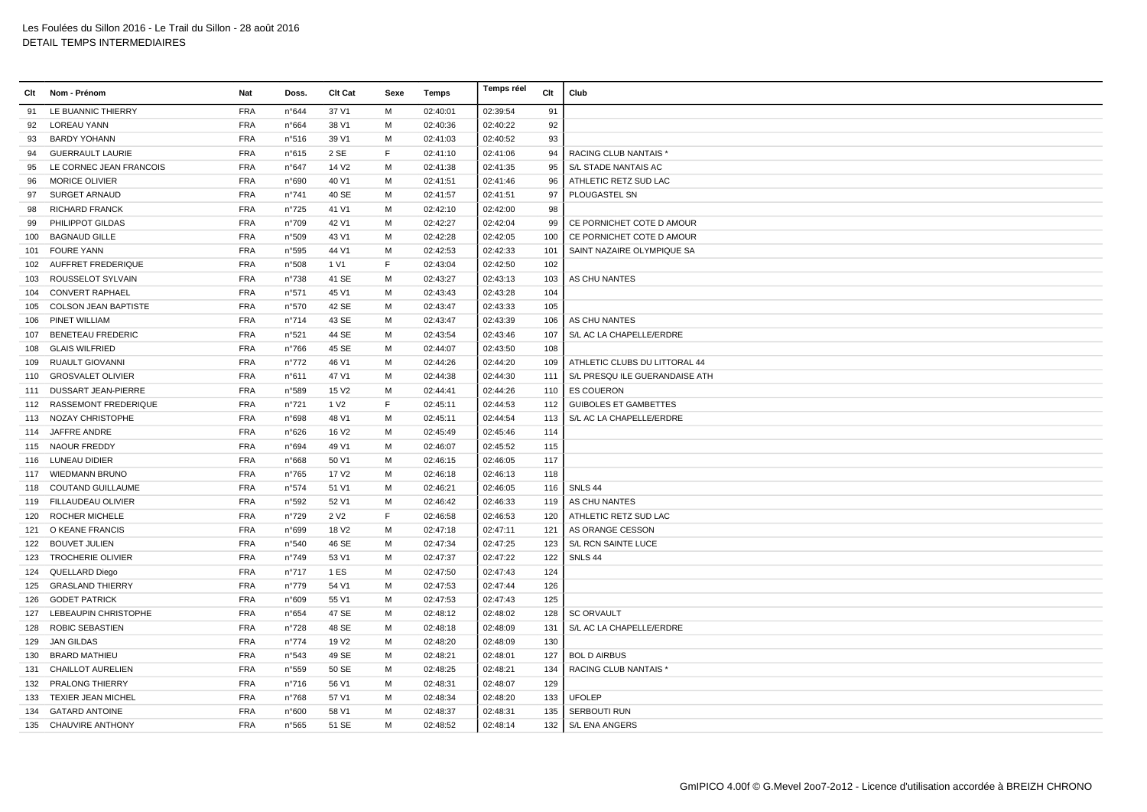| Clt | Nom - Prénom                | Nat        | Doss.          | Clt Cat           | Sexe | Temps    | Temps réel | Clt | Club                           |
|-----|-----------------------------|------------|----------------|-------------------|------|----------|------------|-----|--------------------------------|
| 91  | LE BUANNIC THIERRY          | <b>FRA</b> | n°644          | 37 V1             | м    | 02:40:01 | 02:39:54   | 91  |                                |
| 92  | <b>LOREAU YANN</b>          | <b>FRA</b> | n°664          | 38 V1             | M    | 02:40:36 | 02:40:22   | 92  |                                |
| 93  | <b>BARDY YOHANN</b>         | <b>FRA</b> | n°516          | 39 V1             | м    | 02:41:03 | 02:40:52   | 93  |                                |
| 94  | <b>GUERRAULT LAURIE</b>     | <b>FRA</b> | n°615          | 2 SE              | F    | 02:41:10 | 02:41:06   | 94  | RACING CLUB NANTAIS *          |
| 95  | LE CORNEC JEAN FRANCOIS     | <b>FRA</b> | n°647          | 14 V <sub>2</sub> | M    | 02:41:38 | 02:41:35   | 95  | S/L STADE NANTAIS AC           |
| 96  | <b>MORICE OLIVIER</b>       | <b>FRA</b> | n°690          | 40 V1             | M    | 02:41:51 | 02:41:46   | 96  | ATHLETIC RETZ SUD LAC          |
| 97  | <b>SURGET ARNAUD</b>        | <b>FRA</b> | n°741          | 40 SE             | м    | 02:41:57 | 02:41:51   | 97  | PLOUGASTEL SN                  |
| 98  | <b>RICHARD FRANCK</b>       | <b>FRA</b> | n°725          | 41 V1             | м    | 02:42:10 | 02:42:00   | 98  |                                |
| 99  | PHILIPPOT GILDAS            | <b>FRA</b> | n°709          | 42 V1             | м    | 02:42:27 | 02:42:04   | 99  | CE PORNICHET COTE D AMOUR      |
| 100 | <b>BAGNAUD GILLE</b>        | <b>FRA</b> | n°509          | 43 V1             | M    | 02:42:28 | 02:42:05   | 100 | CE PORNICHET COTE D AMOUR      |
|     | 101 FOURE YANN              | <b>FRA</b> | n°595          | 44 V1             | M    | 02:42:53 | 02:42:33   | 101 | SAINT NAZAIRE OLYMPIQUE SA     |
|     | 102 AUFFRET FREDERIQUE      | <b>FRA</b> | n°508          | 1 V1              | E    | 02:43:04 | 02:42:50   | 102 |                                |
| 103 | ROUSSELOT SYLVAIN           | <b>FRA</b> | n°738          | 41 SE             | M    | 02:43:27 | 02:43:13   | 103 | AS CHU NANTES                  |
|     | 104 CONVERT RAPHAEL         | <b>FRA</b> | n°571          | 45 V1             | м    | 02:43:43 | 02:43:28   | 104 |                                |
| 105 | <b>COLSON JEAN BAPTISTE</b> | <b>FRA</b> | n°570          | 42 SE             | М    | 02:43:47 | 02:43:33   | 105 |                                |
|     | 106 PINET WILLIAM           | <b>FRA</b> | n°714          | 43 SE             | M    | 02:43:47 | 02:43:39   | 106 | AS CHU NANTES                  |
| 107 | <b>BENETEAU FREDERIC</b>    | <b>FRA</b> | n°521          | 44 SE             | M    | 02:43:54 | 02:43:46   | 107 | S/L AC LA CHAPELLE/ERDRE       |
| 108 | <b>GLAIS WILFRIED</b>       | <b>FRA</b> | n°766          | 45 SE             | M    | 02:44:07 | 02:43:50   | 108 |                                |
| 109 | RUAULT GIOVANNI             | <b>FRA</b> | $n^{\circ}772$ | 46 V1             | м    | 02:44:26 | 02:44:20   | 109 | ATHLETIC CLUBS DU LITTORAL 44  |
| 110 | <b>GROSVALET OLIVIER</b>    | <b>FRA</b> | n°611          | 47 V1             | м    | 02:44:38 | 02:44:30   | 111 | S/L PRESQU ILE GUERANDAISE ATH |
| 111 | DUSSART JEAN-PIERRE         | <b>FRA</b> | n°589          | 15 V <sub>2</sub> | м    | 02:44:41 | 02:44:26   | 110 | <b>ES COUERON</b>              |
|     | 112 RASSEMONT FREDERIQUE    | <b>FRA</b> | n°721          | 1 V <sub>2</sub>  | F    | 02:45:11 | 02:44:53   | 112 | <b>GUIBOLES ET GAMBETTES</b>   |
|     | 113 NOZAY CHRISTOPHE        | <b>FRA</b> | n°698          | 48 V1             | м    | 02:45:11 | 02:44:54   | 113 | S/L AC LA CHAPELLE/ERDRE       |
| 114 | JAFFRE ANDRE                | <b>FRA</b> | n°626          | 16 V <sub>2</sub> | м    | 02:45:49 | 02:45:46   | 114 |                                |
|     | 115 NAOUR FREDDY            | <b>FRA</b> | n°694          | 49 V1             | M    | 02:46:07 | 02:45:52   | 115 |                                |
|     | 116 LUNEAU DIDIER           | <b>FRA</b> | n°668          | 50 V1             | М    | 02:46:15 | 02:46:05   | 117 |                                |
|     | 117 WIEDMANN BRUNO          | <b>FRA</b> | $n^{\circ}765$ | 17 V <sub>2</sub> | M    | 02:46:18 | 02:46:13   | 118 |                                |
| 118 | COUTAND GUILLAUME           | <b>FRA</b> | n°574          | 51 V1             | M    | 02:46:21 | 02:46:05   | 116 | SNLS 44                        |
|     | 119 FILLAUDEAU OLIVIER      | <b>FRA</b> | n°592          | 52 V1             | M    | 02:46:42 | 02:46:33   | 119 | AS CHU NANTES                  |
| 120 | <b>ROCHER MICHELE</b>       | <b>FRA</b> | n°729          | 2 V <sub>2</sub>  | F    | 02:46:58 | 02:46:53   | 120 | ATHLETIC RETZ SUD LAC          |
|     | 121 O KEANE FRANCIS         | <b>FRA</b> | n°699          | 18 V <sub>2</sub> | м    | 02:47:18 | 02:47:11   | 121 | AS ORANGE CESSON               |
| 122 | <b>BOUVET JULIEN</b>        | <b>FRA</b> | n°540          | 46 SE             | м    | 02:47:34 | 02:47:25   | 123 | S/L RCN SAINTE LUCE            |
| 123 | <b>TROCHERIE OLIVIER</b>    | <b>FRA</b> | n°749          | 53 V1             | M    | 02:47:37 | 02:47:22   | 122 | SNLS 44                        |
| 124 | QUELLARD Diego              | <b>FRA</b> | n°717          | 1 ES              | M    | 02:47:50 | 02:47:43   | 124 |                                |
| 125 | <b>GRASLAND THIERRY</b>     | <b>FRA</b> | $n^{\circ}779$ | 54 V1             | M    | 02:47:53 | 02:47:44   | 126 |                                |
| 126 | <b>GODET PATRICK</b>        | <b>FRA</b> | n°609          | 55 V1             | м    | 02:47:53 | 02:47:43   | 125 |                                |
| 127 | LEBEAUPIN CHRISTOPHE        | <b>FRA</b> | n°654          | 47 SE             | м    | 02:48:12 | 02:48:02   | 128 | <b>SC ORVAULT</b>              |
|     | 128 ROBIC SEBASTIEN         | <b>FRA</b> | n°728          | 48 SE             | м    | 02:48:18 | 02:48:09   | 131 | S/L AC LA CHAPELLE/ERDRE       |
| 129 | JAN GILDAS                  | <b>FRA</b> | $n^{\circ}774$ | 19 V <sub>2</sub> | M    | 02:48:20 | 02:48:09   | 130 |                                |
| 130 | <b>BRARD MATHIEU</b>        | <b>FRA</b> | n°543          | 49 SE             | M    | 02:48:21 | 02:48:01   | 127 | <b>BOL D AIRBUS</b>            |
| 131 | <b>CHAILLOT AURELIEN</b>    | <b>FRA</b> | n°559          | 50 SE             | M    | 02:48:25 | 02:48:21   | 134 | <b>RACING CLUB NANTAIS*</b>    |
|     | 132 PRALONG THIERRY         | <b>FRA</b> | $n^{\circ}716$ | 56 V1             | М    | 02:48:31 | 02:48:07   | 129 |                                |
| 133 | <b>TEXIER JEAN MICHEL</b>   | <b>FRA</b> | n°768          | 57 V1             | м    | 02:48:34 | 02:48:20   | 133 | <b>UFOLEP</b>                  |
|     | 134 GATARD ANTOINE          | <b>FRA</b> | n°600          | 58 V1             | м    | 02:48:37 | 02:48:31   | 135 | SERBOUTI RUN                   |
|     | 135 CHAUVIRE ANTHONY        | <b>FRA</b> | n°565          | 51 SE             | M    | 02:48:52 | 02:48:14   |     | 132   S/L ENA ANGERS           |
|     |                             |            |                |                   |      |          |            |     |                                |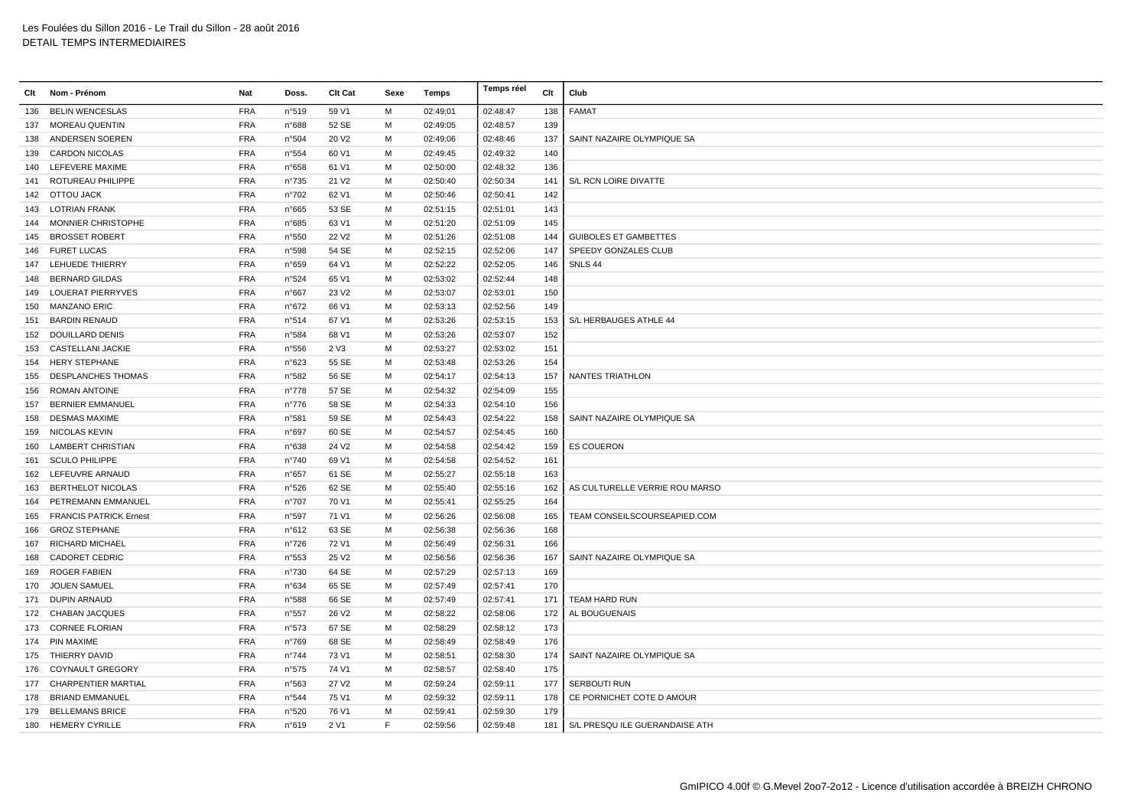| Clt | Nom - Prénom               | Nat        | Doss.          | Clt Cat           | Sexe | Temps    | Temps réel | Clt | Club                           |
|-----|----------------------------|------------|----------------|-------------------|------|----------|------------|-----|--------------------------------|
| 136 | <b>BELIN WENCESLAS</b>     | <b>FRA</b> | n°519          | 59 V1             | M    | 02:49:01 | 02:48:47   | 138 | FAMAT                          |
|     | 137 MOREAU QUENTIN         | <b>FRA</b> | n°688          | 52 SE             | M    | 02:49:05 | 02:48:57   | 139 |                                |
|     | 138 ANDERSEN SOEREN        | <b>FRA</b> | n°504          | 20 V <sub>2</sub> | M    | 02:49:06 | 02:48:46   | 137 | SAINT NAZAIRE OLYMPIQUE SA     |
|     | 139 CARDON NICOLAS         | <b>FRA</b> | n°554          | 60 V1             | м    | 02:49:45 | 02:49:32   | 140 |                                |
|     | 140 LEFEVERE MAXIME        | <b>FRA</b> | n°658          | 61 V1             | м    | 02:50:00 | 02:48:32   | 136 |                                |
| 141 | ROTUREAU PHILIPPE          | <b>FRA</b> | n°735          | 21 V <sub>2</sub> | M    | 02:50:40 | 02:50:34   | 141 | S/L RCN LOIRE DIVATTE          |
|     | 142 OTTOU JACK             | <b>FRA</b> | n°702          | 62 V1             | M    | 02:50:46 | 02:50:41   | 142 |                                |
|     | 143 LOTRIAN FRANK          | <b>FRA</b> | n°665          | 53 SE             | м    | 02:51:15 | 02:51:01   | 143 |                                |
|     | 144 MONNIER CHRISTOPHE     | <b>FRA</b> | n°685          | 63 V1             | M    | 02:51:20 | 02:51:09   | 145 |                                |
| 145 | <b>BROSSET ROBERT</b>      | <b>FRA</b> | n°550          | 22 V <sub>2</sub> | M    | 02:51:26 | 02:51:08   | 144 | <b>GUIBOLES ET GAMBETTES</b>   |
|     | 146 FURET LUCAS            | <b>FRA</b> | n°598          | 54 SE             | м    | 02:52:15 | 02:52:06   | 147 | SPEEDY GONZALES CLUB           |
|     | 147 LEHUEDE THIERRY        | <b>FRA</b> | n°659          | 64 V1             | м    | 02:52:22 | 02:52:05   | 146 | SNLS 44                        |
| 148 | <b>BERNARD GILDAS</b>      | <b>FRA</b> | n°524          | 65 V1             | M    | 02:53:02 | 02:52:44   | 148 |                                |
|     | 149 LOUERAT PIERRYVES      | <b>FRA</b> | n°667          | 23 V <sub>2</sub> | M    | 02:53:07 | 02:53:01   | 150 |                                |
|     | 150 MANZANO ERIC           | <b>FRA</b> | n°672          | 66 V1             | м    | 02:53:13 | 02:52:56   | 149 |                                |
|     | 151 BARDIN RENAUD          | <b>FRA</b> | n°514          | 67 V1             | м    | 02:53:26 | 02:53:15   | 153 | S/L HERBAUGES ATHLE 44         |
|     | 152 DOUILLARD DENIS        | <b>FRA</b> | n°584          | 68 V1             | м    | 02:53:26 | 02:53:07   | 152 |                                |
| 153 | <b>CASTELLANI JACKIE</b>   | <b>FRA</b> | n°556          | 2 V3              | м    | 02:53:27 | 02:53:02   | 151 |                                |
|     | 154 HERY STEPHANE          | <b>FRA</b> | n°623          | 55 SE             | M    | 02:53:48 | 02:53:26   | 154 |                                |
| 155 | <b>DESPLANCHES THOMAS</b>  | <b>FRA</b> | n°582          | 56 SE             | M    | 02:54:17 | 02:54:13   | 157 | NANTES TRIATHLON               |
|     | 156 ROMAN ANTOINE          | <b>FRA</b> | n°778          | 57 SE             | M    | 02:54:32 | 02:54:09   | 155 |                                |
| 157 | <b>BERNIER EMMANUEL</b>    | <b>FRA</b> | $n^{\circ}776$ | 58 SE             | M    | 02:54:33 | 02:54:10   | 156 |                                |
| 158 | <b>DESMAS MAXIME</b>       | <b>FRA</b> | n°581          | 59 SE             | м    | 02:54:43 | 02:54:22   | 158 | SAINT NAZAIRE OLYMPIQUE SA     |
|     | 159 NICOLAS KEVIN          | <b>FRA</b> | n°697          | 60 SE             | м    | 02:54:57 | 02:54:45   | 160 |                                |
| 160 | <b>LAMBERT CHRISTIAN</b>   | <b>FRA</b> | n°638          | 24 V <sub>2</sub> | M    | 02:54:58 | 02:54:42   | 159 | <b>ES COUERON</b>              |
| 161 | <b>SCULO PHILIPPE</b>      | <b>FRA</b> | n°740          | 69 V1             | M    | 02:54:58 | 02:54:52   | 161 |                                |
|     | 162 LEFEUVRE ARNAUD        | <b>FRA</b> | n°657          | 61 SE             | M    | 02:55:27 | 02:55:18   | 163 |                                |
| 163 | <b>BERTHELOT NICOLAS</b>   | <b>FRA</b> | n°526          | 62 SE             | M    | 02:55:40 | 02:55:16   | 162 | AS CULTURELLE VERRIE ROU MARSO |
| 164 | PETREMANN EMMANUEL         | <b>FRA</b> | n°707          | 70 V1             | м    | 02:55:41 | 02:55:25   | 164 |                                |
|     | 165 FRANCIS PATRICK Ernest | <b>FRA</b> | n°597          | 71 V1             | м    | 02:56:26 | 02:56:08   | 165 | TEAM CONSEILSCOURSEAPIED.COM   |
| 166 | <b>GROZ STEPHANE</b>       | <b>FRA</b> | n°612          | 63 SE             | м    | 02:56:38 | 02:56:36   | 168 |                                |
|     | 167 RICHARD MICHAEL        | <b>FRA</b> | n°726          | 72 V1             | M    | 02:56:49 | 02:56:31   | 166 |                                |
| 168 | <b>CADORET CEDRIC</b>      | <b>FRA</b> | n°553          | 25 V <sub>2</sub> | M    | 02:56:56 | 02:56:36   | 167 | SAINT NAZAIRE OLYMPIQUE SA     |
| 169 | <b>ROGER FABIEN</b>        | <b>FRA</b> | n°730          | 64 SE             | M    | 02:57:29 | 02:57:13   | 169 |                                |
| 170 | <b>JOUEN SAMUEL</b>        | <b>FRA</b> | n°634          | 65 SE             | M    | 02:57:49 | 02:57:41   | 170 |                                |
|     | 171 DUPIN ARNAUD           | <b>FRA</b> | n°588          | 66 SE             | M    | 02:57:49 | 02:57:41   | 171 | TEAM HARD RUN                  |
|     | 172 CHABAN JACQUES         | <b>FRA</b> | n°557          | 26 V <sub>2</sub> | м    | 02:58:22 | 02:58:06   | 172 | AL BOUGUENAIS                  |
|     | 173 CORNEE FLORIAN         | <b>FRA</b> | n°573          | 67 SE             | м    | 02:58:29 | 02:58:12   | 173 |                                |
|     | 174 PIN MAXIME             | <b>FRA</b> | n°769          | 68 SE             | M    | 02:58:49 | 02:58:49   | 176 |                                |
|     | 175 THIERRY DAVID          | <b>FRA</b> | n°744          | 73 V1             | M    | 02:58:51 | 02:58:30   | 174 | SAINT NAZAIRE OLYMPIQUE SA     |
|     | 176 COYNAULT GREGORY       | <b>FRA</b> | n°575          | 74 V1             | м    | 02:58:57 | 02:58:40   | 175 |                                |
|     | 177 CHARPENTIER MARTIAL    | <b>FRA</b> | n°563          | 27 V <sub>2</sub> | м    | 02:59:24 | 02:59:11   | 177 | SERBOUTI RUN                   |
|     | 178 BRIAND EMMANUEL        | <b>FRA</b> | n°544          | 75 V1             | м    | 02:59:32 | 02:59:11   | 178 | CE PORNICHET COTE D AMOUR      |
|     | 179 BELLEMANS BRICE        | <b>FRA</b> | n°520          | 76 V1             | м    | 02:59:41 | 02:59:30   | 179 |                                |
|     | 180 HEMERY CYRILLE         | <b>FRA</b> | n°619          | 2 V1              | E    | 02:59:56 | 02:59:48   | 181 | S/L PRESQU ILE GUERANDAISE ATH |
|     |                            |            |                |                   |      |          |            |     |                                |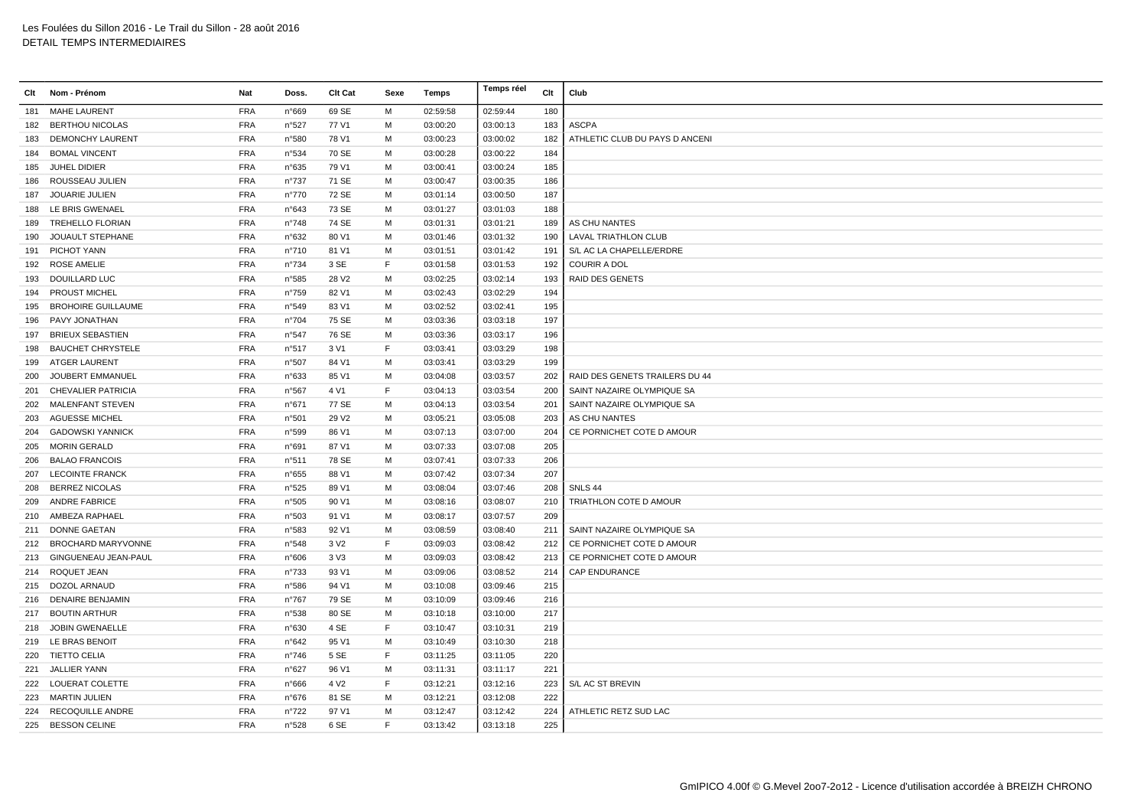| Clt | Nom - Prénom             | Nat        | Doss.          | Clt Cat           | Sexe | Temps    | Temps réel | Clt | Club                           |
|-----|--------------------------|------------|----------------|-------------------|------|----------|------------|-----|--------------------------------|
| 181 | <b>MAHE LAURENT</b>      | <b>FRA</b> | n°669          | 69 SE             | M    | 02:59:58 | 02:59:44   | 180 |                                |
|     | 182 BERTHOU NICOLAS      | <b>FRA</b> | n°527          | 77 V1             | M    | 03:00:20 | 03:00:13   | 183 | <b>ASCPA</b>                   |
| 183 | <b>DEMONCHY LAURENT</b>  | <b>FRA</b> | n°580          | 78 V1             | M    | 03:00:23 | 03:00:02   | 182 | ATHLETIC CLUB DU PAYS D ANCENI |
|     | 184 BOMAL VINCENT        | <b>FRA</b> | n°534          | 70 SE             | м    | 03:00:28 | 03:00:22   | 184 |                                |
| 185 | JUHEL DIDIER             | <b>FRA</b> | n°635          | 79 V1             | M    | 03:00:41 | 03:00:24   | 185 |                                |
| 186 | ROUSSEAU JULIEN          | <b>FRA</b> | n°737          | 71 SE             | M    | 03:00:47 | 03:00:35   | 186 |                                |
| 187 | <b>JOUARIE JULIEN</b>    | <b>FRA</b> | n°770          | 72 SE             | M    | 03:01:14 | 03:00:50   | 187 |                                |
|     | 188 LE BRIS GWENAEL      | <b>FRA</b> | n°643          | 73 SE             | М    | 03:01:27 | 03:01:03   | 188 |                                |
| 189 | <b>TREHELLO FLORIAN</b>  | <b>FRA</b> | $n^{\circ}748$ | 74 SE             | м    | 03:01:31 | 03:01:21   | 189 | AS CHU NANTES                  |
| 190 | JOUAULT STEPHANE         | <b>FRA</b> | n°632          | 80 V1             | м    | 03:01:46 | 03:01:32   | 190 | <b>LAVAL TRIATHLON CLUB</b>    |
|     | 191 PICHOT YANN          | <b>FRA</b> | $n^{\circ}710$ | 81 V1             | M    | 03:01:51 | 03:01:42   | 191 | S/L AC LA CHAPELLE/ERDRE       |
|     | 192 ROSE AMELIE          | <b>FRA</b> | n°734          | 3 SE              | F    | 03:01:58 | 03:01:53   | 192 | <b>COURIR A DOL</b>            |
|     | 193 DOUILLARD LUC        | <b>FRA</b> | n°585          | 28 V <sub>2</sub> | M    | 03:02:25 | 03:02:14   | 193 | <b>RAID DES GENETS</b>         |
|     | 194 PROUST MICHEL        | <b>FRA</b> | n°759          | 82 V1             | м    | 03:02:43 | 03:02:29   | 194 |                                |
|     | 195 BROHOIRE GUILLAUME   | <b>FRA</b> | n°549          | 83 V1             | м    | 03:02:52 | 03:02:41   | 195 |                                |
| 196 | PAVY JONATHAN            | <b>FRA</b> | $n^{\circ}704$ | 75 SE             | м    | 03:03:36 | 03:03:18   | 197 |                                |
| 197 | <b>BRIEUX SEBASTIEN</b>  | <b>FRA</b> | n°547          | 76 SE             | M    | 03:03:36 | 03:03:17   | 196 |                                |
| 198 | <b>BAUCHET CHRYSTELE</b> | <b>FRA</b> | n°517          | 3 V1              | F    | 03:03:41 | 03:03:29   | 198 |                                |
|     | 199 ATGER LAURENT        | <b>FRA</b> | n°507          | 84 V1             | м    | 03:03:41 | 03:03:29   | 199 |                                |
| 200 | JOUBERT EMMANUEL         | <b>FRA</b> | n°633          | 85 V1             | M    | 03:04:08 | 03:03:57   | 202 | RAID DES GENETS TRAILERS DU 44 |
|     | 201 CHEVALIER PATRICIA   | <b>FRA</b> | n°567          | 4 V1              | F    | 03:04:13 | 03:03:54   | 200 | SAINT NAZAIRE OLYMPIQUE SA     |
|     | 202 MALENFANT STEVEN     | <b>FRA</b> | n°671          | 77 SE             | м    | 03:04:13 | 03:03:54   | 201 | SAINT NAZAIRE OLYMPIQUE SA     |
| 203 | <b>AGUESSE MICHEL</b>    | <b>FRA</b> | n°501          | 29 V <sub>2</sub> | M    | 03:05:21 | 03:05:08   | 203 | AS CHU NANTES                  |
| 204 | <b>GADOWSKI YANNICK</b>  | <b>FRA</b> | n°599          | 86 V1             | M    | 03:07:13 | 03:07:00   | 204 | CE PORNICHET COTE D AMOUR      |
| 205 | <b>MORIN GERALD</b>      | <b>FRA</b> | n°691          | 87 V1             | м    | 03:07:33 | 03:07:08   | 205 |                                |
| 206 | <b>BALAO FRANCOIS</b>    | <b>FRA</b> | n°511          | 78 SE             | м    | 03:07:41 | 03:07:33   | 206 |                                |
|     | 207 LECOINTE FRANCK      | <b>FRA</b> | n°655          | 88 V1             | м    | 03:07:42 | 03:07:34   | 207 |                                |
| 208 | <b>BERREZ NICOLAS</b>    | <b>FRA</b> | n°525          | 89 V1             | M    | 03:08:04 | 03:07:46   | 208 | SNLS 44                        |
| 209 | <b>ANDRE FABRICE</b>     | <b>FRA</b> | n°505          | 90 V1             | M    | 03:08:16 | 03:08:07   | 210 | TRIATHLON COTE D AMOUR         |
|     | 210 AMBEZA RAPHAEL       | <b>FRA</b> | n°503          | 91 V1             | M    | 03:08:17 | 03:07:57   | 209 |                                |
|     | 211 DONNE GAETAN         | <b>FRA</b> | n°583          | 92 V1             | м    | 03:08:59 | 03:08:40   | 211 | SAINT NAZAIRE OLYMPIQUE SA     |
|     | 212 BROCHARD MARYVONNE   | <b>FRA</b> | n°548          | 3 V <sub>2</sub>  | E    | 03:09:03 | 03:08:42   | 212 | CE PORNICHET COTE D AMOUR      |
|     | 213 GINGUENEAU JEAN-PAUL | <b>FRA</b> | n°606          | 3 V3              | м    | 03:09:03 | 03:08:42   | 213 | CE PORNICHET COTE D AMOUR      |
|     | 214 ROQUET JEAN          | <b>FRA</b> | $n^{\circ}733$ | 93 V1             | M    | 03:09:06 | 03:08:52   | 214 | <b>CAP ENDURANCE</b>           |
|     | 215 DOZOL ARNAUD         | <b>FRA</b> | n°586          | 94 V1             | M    | 03:10:08 | 03:09:46   | 215 |                                |
|     | 216 DENAIRE BENJAMIN     | <b>FRA</b> | $n^{\circ}767$ | 79 SE             | М    | 03:10:09 | 03:09:46   | 216 |                                |
|     | 217 BOUTIN ARTHUR        | <b>FRA</b> | n°538          | 80 SE             | M    | 03:10:18 | 03:10:00   | 217 |                                |
|     | 218 JOBIN GWENAELLE      | <b>FRA</b> | n°630          | 4 SE              | F    | 03:10:47 | 03:10:31   | 219 |                                |
|     | 219 LE BRAS BENOIT       | <b>FRA</b> | $n^{\circ}642$ | 95 V1             | М    | 03:10:49 | 03:10:30   | 218 |                                |
|     | 220 TIETTO CELIA         | <b>FRA</b> | $n^{\circ}746$ | 5 SE              | F    | 03:11:25 | 03:11:05   | 220 |                                |
| 221 | <b>JALLIER YANN</b>      | <b>FRA</b> | n°627          | 96 V1             | м    | 03:11:31 | 03:11:17   | 221 |                                |
|     | 222 LOUERAT COLETTE      | <b>FRA</b> | n°666          | 4 V <sub>2</sub>  | F    | 03:12:21 | 03:12:16   | 223 | S/L AC ST BREVIN               |
|     | 223 MARTIN JULIEN        | <b>FRA</b> | $n^{\circ}676$ | 81 SE             | M    | 03:12:21 | 03:12:08   | 222 |                                |
| 224 | <b>RECOQUILLE ANDRE</b>  | <b>FRA</b> | n°722          | 97 V1             | м    | 03:12:47 | 03:12:42   | 224 | ATHLETIC RETZ SUD LAC          |
|     | 225 BESSON CELINE        | <b>FRA</b> | n°528          | 6 SE              | E    | 03:13:42 | 03:13:18   | 225 |                                |
|     |                          |            |                |                   |      |          |            |     |                                |